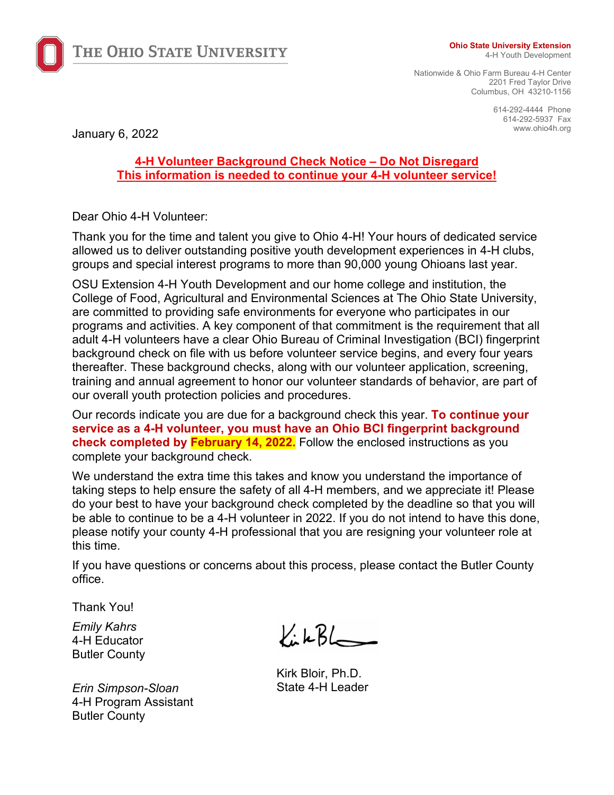

THE OHIO STATE UNIVERSITY

#### **Ohio State University Extension**

4-H Youth Development

Nationwide & Ohio Farm Bureau 4-H Center 2201 Fred Taylor Drive Columbus, OH 43210-1156

> 614-292-4444 Phone 614-292-5937 Fax

January 6, 2022 **Manual Property Control** Manual Property of the United States of the United States of the United States of the United States of the United States of the United States of the United States of the United Sta

# **4-H Volunteer Background Check Notice – Do Not Disregard This information is needed to continue your 4-H volunteer service!**

Dear Ohio 4-H Volunteer:

Thank you for the time and talent you give to Ohio 4-H! Your hours of dedicated service allowed us to deliver outstanding positive youth development experiences in 4-H clubs, groups and special interest programs to more than 90,000 young Ohioans last year.

OSU Extension 4-H Youth Development and our home college and institution, the College of Food, Agricultural and Environmental Sciences at The Ohio State University, are committed to providing safe environments for everyone who participates in our programs and activities. A key component of that commitment is the requirement that all adult 4-H volunteers have a clear Ohio Bureau of Criminal Investigation (BCI) fingerprint background check on file with us before volunteer service begins, and every four years thereafter. These background checks, along with our volunteer application, screening, training and annual agreement to honor our volunteer standards of behavior, are part of our overall youth protection policies and procedures.

Our records indicate you are due for a background check this year. **To continue your service as a 4-H volunteer, you must have an Ohio BCI fingerprint background check completed by February 14, 2022.** Follow the enclosed instructions as you complete your background check.

We understand the extra time this takes and know you understand the importance of taking steps to help ensure the safety of all 4-H members, and we appreciate it! Please do your best to have your background check completed by the deadline so that you will be able to continue to be a 4-H volunteer in 2022. If you do not intend to have this done, please notify your county 4-H professional that you are resigning your volunteer role at this time.

If you have questions or concerns about this process, please contact the Butler County office.

Thank You!

*Emily Kahrs* 4-H Educator Butler County

*Erin Simpson-Sloan*  4-H Program Assistant Butler County

KikBL

Kirk Bloir, Ph.D. State 4-H Leader